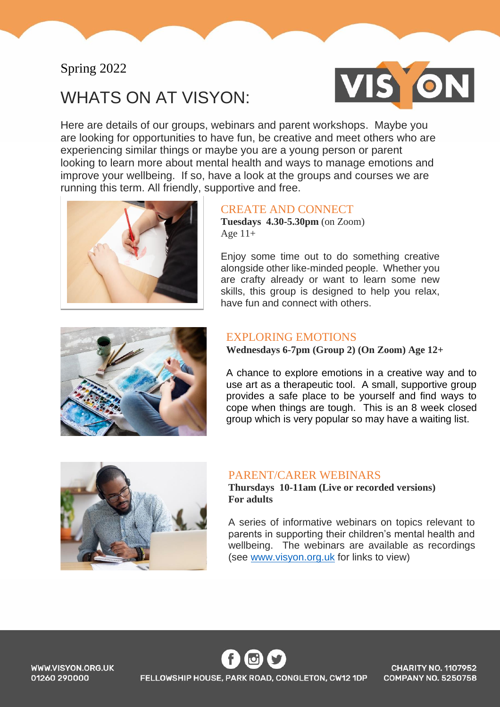## Spring 2022

# WHATS ON AT VISYON:



Here are details of our groups, webinars and parent workshops. Maybe you are looking for opportunities to have fun, be creative and meet others who are experiencing similar things or maybe you are a young person or parent looking to learn more about mental health and ways to manage emotions and improve your wellbeing. If so, have a look at the groups and courses we are running this term. All friendly, supportive and free.



#### CREATE AND CONNECT

**Tuesdays 4.30-5.30pm** (on Zoom) Age  $11+$ 

Enjoy some time out to do something creative alongside other like-minded people. Whether you are crafty already or want to learn some new skills, this group is designed to help you relax, have fun and connect with others.



#### EXPLORING EMOTIONS

**Wednesdays 6-7pm (Group 2) (On Zoom) Age 12+** 

A chance to explore emotions in a creative way and to use art as a therapeutic tool. A small, supportive group provides a safe place to be yourself and find ways to cope when things are tough. This is an 8 week closed group which is very popular so may have a waiting list.



#### PARENT/CARER WEBINARS

**Thursdays 10-11am (Live or recorded versions) For adults** 

A series of informative webinars on topics relevant to parents in supporting their children's mental health and wellbeing. The webinars are available as recordings (see [www.visyon.org.uk](http://www.visyon.org.uk/) for links to view)

WWW.VISYON.ORG.UK 01260 290000

FELLOWSHIP HOUSE, PARK ROAD, CONGLETON, CW12 1DP

**CHARITY NO. 1107952 COMPANY NO. 5250758**